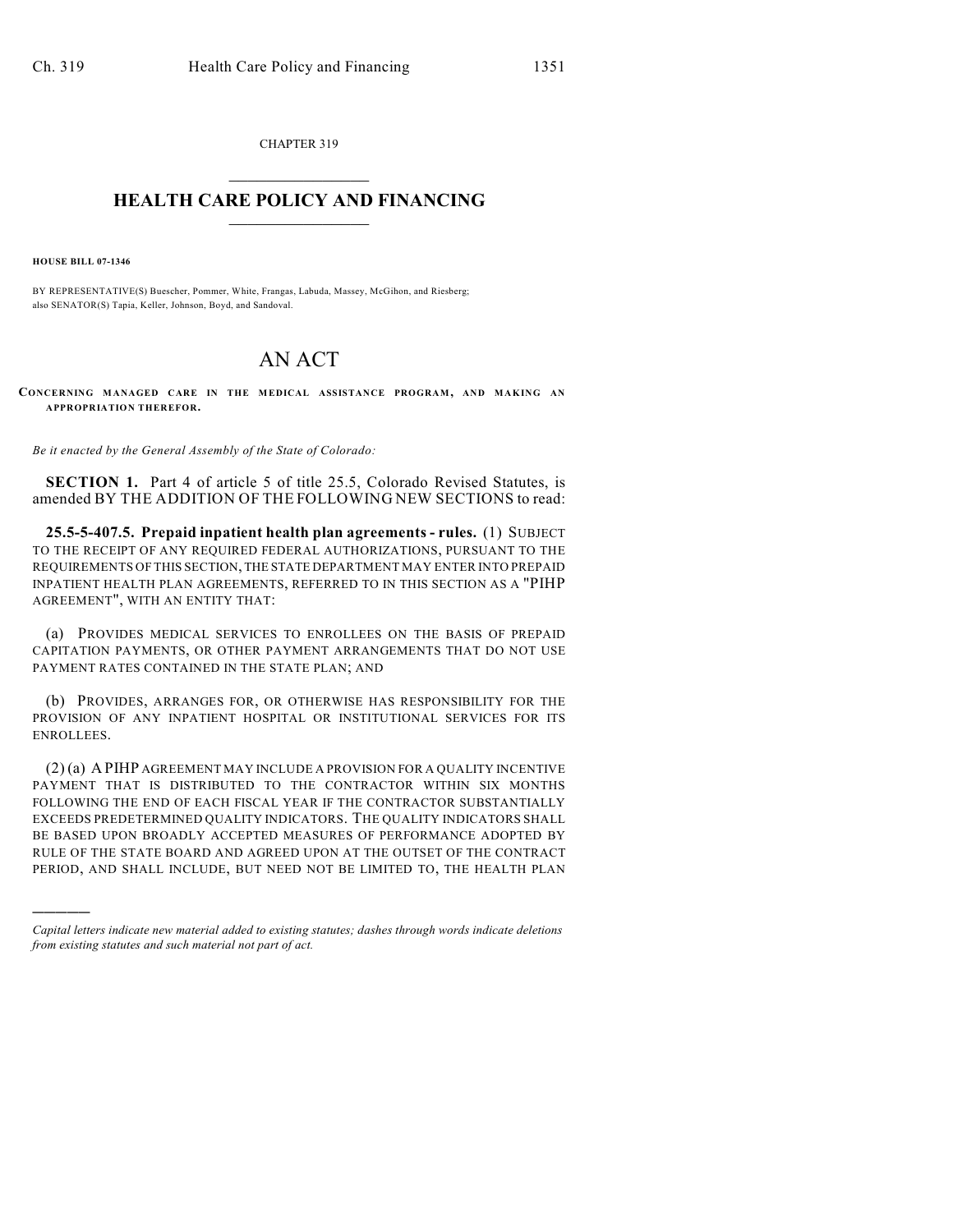CHAPTER 319  $\overline{\phantom{a}}$  . The set of the set of the set of the set of the set of the set of the set of the set of the set of the set of the set of the set of the set of the set of the set of the set of the set of the set of the set o

## **HEALTH CARE POLICY AND FINANCING**  $\_$   $\_$   $\_$   $\_$   $\_$   $\_$   $\_$   $\_$

**HOUSE BILL 07-1346**

)))))

BY REPRESENTATIVE(S) Buescher, Pommer, White, Frangas, Labuda, Massey, McGihon, and Riesberg; also SENATOR(S) Tapia, Keller, Johnson, Boyd, and Sandoval.

## AN ACT

**CONCERNING MANAGED CARE IN THE MEDICAL ASSISTANCE PROGRAM, AND MAKING AN APPROPRIATION THEREFOR.**

*Be it enacted by the General Assembly of the State of Colorado:*

**SECTION 1.** Part 4 of article 5 of title 25.5, Colorado Revised Statutes, is amended BY THE ADDITION OF THE FOLLOWING NEW SECTIONS to read:

**25.5-5-407.5. Prepaid inpatient health plan agreements - rules.** (1) SUBJECT TO THE RECEIPT OF ANY REQUIRED FEDERAL AUTHORIZATIONS, PURSUANT TO THE REQUIREMENTS OF THIS SECTION, THE STATE DEPARTMENT MAY ENTER INTO PREPAID INPATIENT HEALTH PLAN AGREEMENTS, REFERRED TO IN THIS SECTION AS A "PIHP AGREEMENT", WITH AN ENTITY THAT:

(a) PROVIDES MEDICAL SERVICES TO ENROLLEES ON THE BASIS OF PREPAID CAPITATION PAYMENTS, OR OTHER PAYMENT ARRANGEMENTS THAT DO NOT USE PAYMENT RATES CONTAINED IN THE STATE PLAN; AND

(b) PROVIDES, ARRANGES FOR, OR OTHERWISE HAS RESPONSIBILITY FOR THE PROVISION OF ANY INPATIENT HOSPITAL OR INSTITUTIONAL SERVICES FOR ITS ENROLLEES.

(2) (a) A PIHP AGREEMENT MAY INCLUDE A PROVISION FOR A QUALITY INCENTIVE PAYMENT THAT IS DISTRIBUTED TO THE CONTRACTOR WITHIN SIX MONTHS FOLLOWING THE END OF EACH FISCAL YEAR IF THE CONTRACTOR SUBSTANTIALLY EXCEEDS PREDETERMINED QUALITY INDICATORS. THE QUALITY INDICATORS SHALL BE BASED UPON BROADLY ACCEPTED MEASURES OF PERFORMANCE ADOPTED BY RULE OF THE STATE BOARD AND AGREED UPON AT THE OUTSET OF THE CONTRACT PERIOD, AND SHALL INCLUDE, BUT NEED NOT BE LIMITED TO, THE HEALTH PLAN

*Capital letters indicate new material added to existing statutes; dashes through words indicate deletions from existing statutes and such material not part of act.*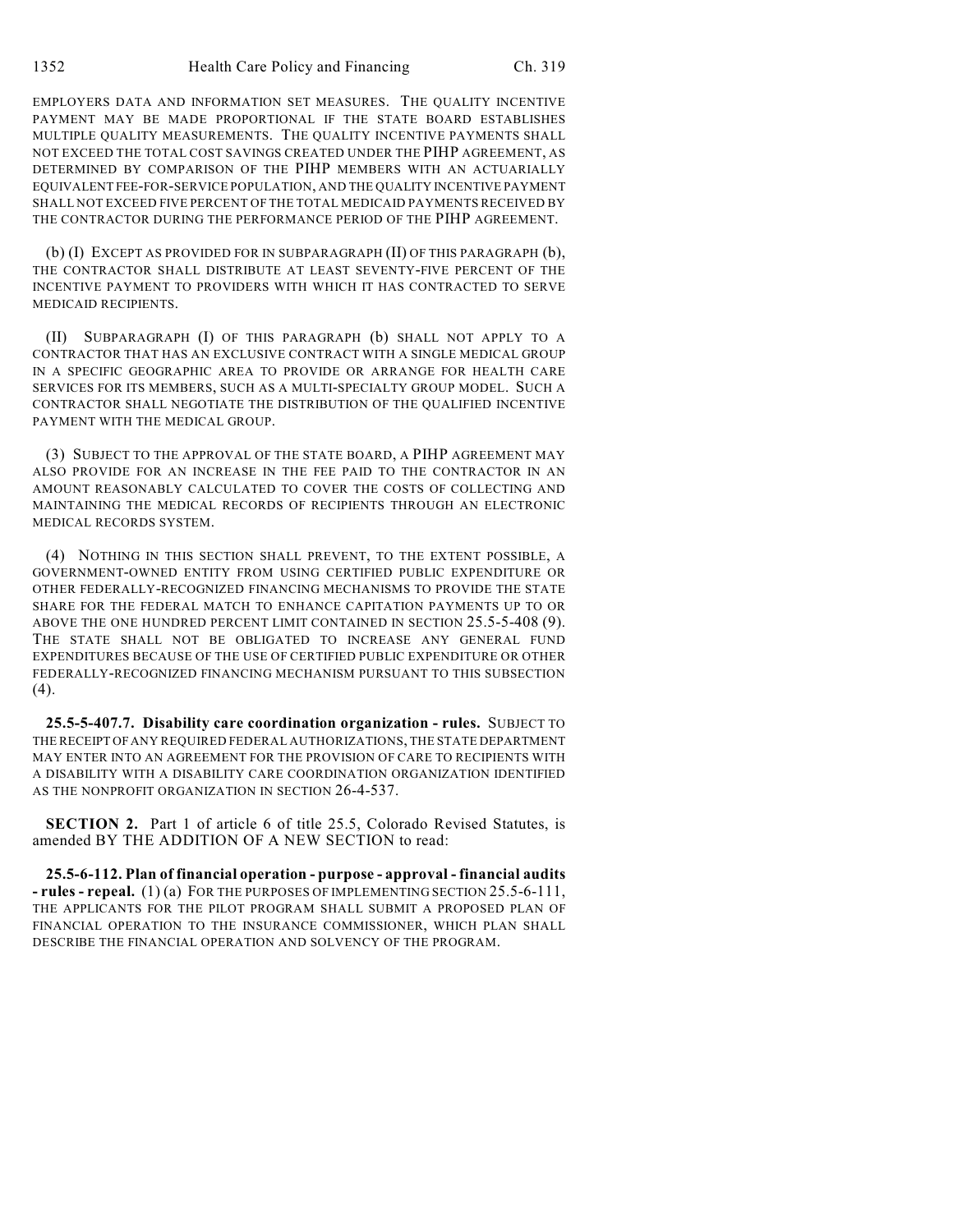EMPLOYERS DATA AND INFORMATION SET MEASURES. THE QUALITY INCENTIVE PAYMENT MAY BE MADE PROPORTIONAL IF THE STATE BOARD ESTABLISHES MULTIPLE QUALITY MEASUREMENTS. THE QUALITY INCENTIVE PAYMENTS SHALL NOT EXCEED THE TOTAL COST SAVINGS CREATED UNDER THE PIHP AGREEMENT, AS DETERMINED BY COMPARISON OF THE PIHP MEMBERS WITH AN ACTUARIALLY EQUIVALENT FEE-FOR-SERVICE POPULATION, AND THE QUALITY INCENTIVE PAYMENT SHALL NOT EXCEED FIVE PERCENT OF THE TOTAL MEDICAID PAYMENTS RECEIVED BY THE CONTRACTOR DURING THE PERFORMANCE PERIOD OF THE PIHP AGREEMENT.

(b) (I) EXCEPT AS PROVIDED FOR IN SUBPARAGRAPH (II) OF THIS PARAGRAPH (b), THE CONTRACTOR SHALL DISTRIBUTE AT LEAST SEVENTY-FIVE PERCENT OF THE INCENTIVE PAYMENT TO PROVIDERS WITH WHICH IT HAS CONTRACTED TO SERVE MEDICAID RECIPIENTS.

(II) SUBPARAGRAPH (I) OF THIS PARAGRAPH (b) SHALL NOT APPLY TO A CONTRACTOR THAT HAS AN EXCLUSIVE CONTRACT WITH A SINGLE MEDICAL GROUP IN A SPECIFIC GEOGRAPHIC AREA TO PROVIDE OR ARRANGE FOR HEALTH CARE SERVICES FOR ITS MEMBERS, SUCH AS A MULTI-SPECIALTY GROUP MODEL. SUCH A CONTRACTOR SHALL NEGOTIATE THE DISTRIBUTION OF THE QUALIFIED INCENTIVE PAYMENT WITH THE MEDICAL GROUP.

(3) SUBJECT TO THE APPROVAL OF THE STATE BOARD, A PIHP AGREEMENT MAY ALSO PROVIDE FOR AN INCREASE IN THE FEE PAID TO THE CONTRACTOR IN AN AMOUNT REASONABLY CALCULATED TO COVER THE COSTS OF COLLECTING AND MAINTAINING THE MEDICAL RECORDS OF RECIPIENTS THROUGH AN ELECTRONIC MEDICAL RECORDS SYSTEM.

(4) NOTHING IN THIS SECTION SHALL PREVENT, TO THE EXTENT POSSIBLE, A GOVERNMENT-OWNED ENTITY FROM USING CERTIFIED PUBLIC EXPENDITURE OR OTHER FEDERALLY-RECOGNIZED FINANCING MECHANISMS TO PROVIDE THE STATE SHARE FOR THE FEDERAL MATCH TO ENHANCE CAPITATION PAYMENTS UP TO OR ABOVE THE ONE HUNDRED PERCENT LIMIT CONTAINED IN SECTION 25.5-5-408 (9). THE STATE SHALL NOT BE OBLIGATED TO INCREASE ANY GENERAL FUND EXPENDITURES BECAUSE OF THE USE OF CERTIFIED PUBLIC EXPENDITURE OR OTHER FEDERALLY-RECOGNIZED FINANCING MECHANISM PURSUANT TO THIS SUBSECTION (4).

**25.5-5-407.7. Disability care coordination organization - rules.** SUBJECT TO THE RECEIPT OF ANY REQUIRED FEDERAL AUTHORIZATIONS, THE STATE DEPARTMENT MAY ENTER INTO AN AGREEMENT FOR THE PROVISION OF CARE TO RECIPIENTS WITH A DISABILITY WITH A DISABILITY CARE COORDINATION ORGANIZATION IDENTIFIED AS THE NONPROFIT ORGANIZATION IN SECTION 26-4-537.

**SECTION 2.** Part 1 of article 6 of title 25.5, Colorado Revised Statutes, is amended BY THE ADDITION OF A NEW SECTION to read:

**25.5-6-112. Plan of financial operation - purpose - approval - financial audits - rules - repeal.** (1) (a) FOR THE PURPOSES OF IMPLEMENTING SECTION 25.5-6-111, THE APPLICANTS FOR THE PILOT PROGRAM SHALL SUBMIT A PROPOSED PLAN OF FINANCIAL OPERATION TO THE INSURANCE COMMISSIONER, WHICH PLAN SHALL DESCRIBE THE FINANCIAL OPERATION AND SOLVENCY OF THE PROGRAM.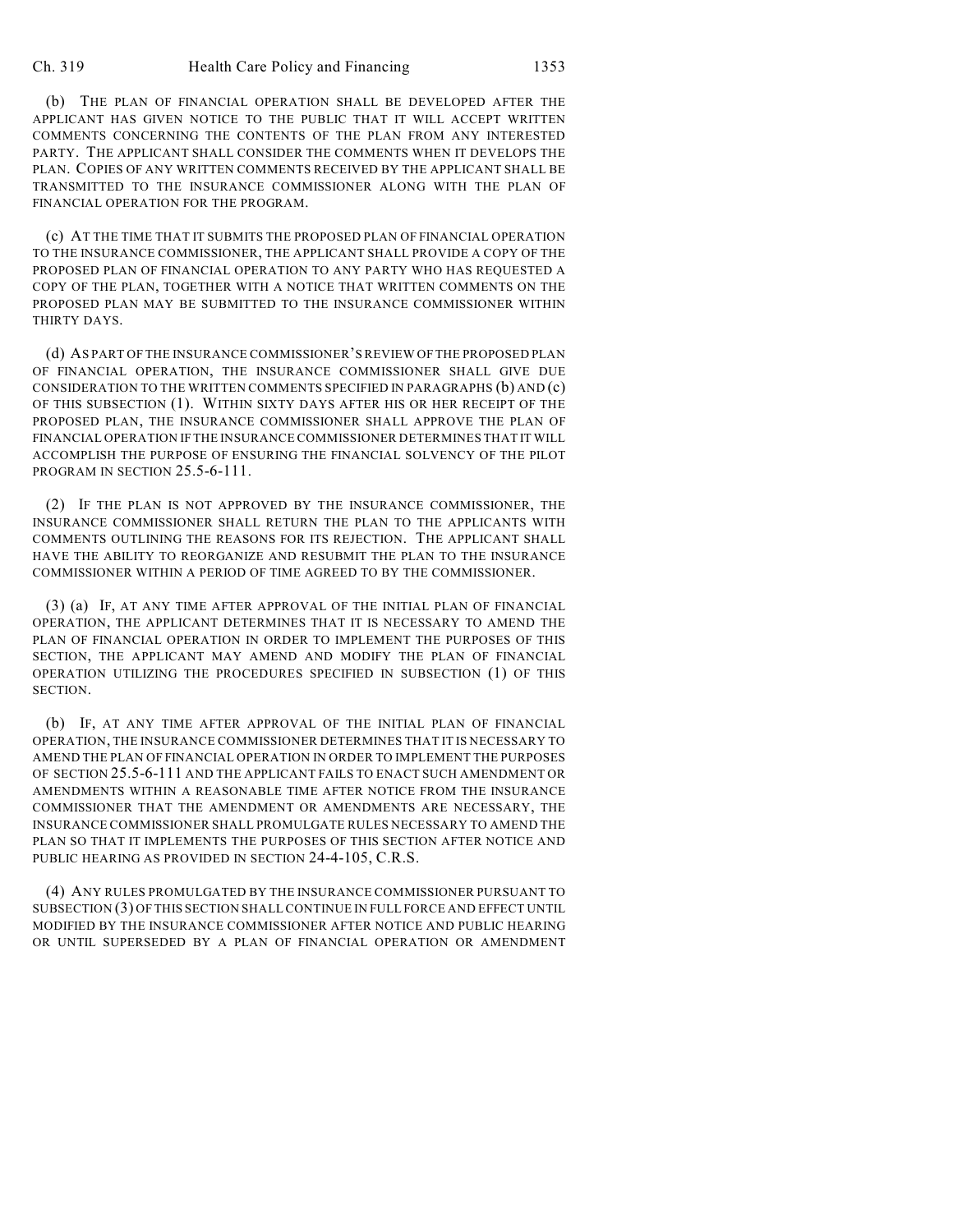(b) THE PLAN OF FINANCIAL OPERATION SHALL BE DEVELOPED AFTER THE APPLICANT HAS GIVEN NOTICE TO THE PUBLIC THAT IT WILL ACCEPT WRITTEN COMMENTS CONCERNING THE CONTENTS OF THE PLAN FROM ANY INTERESTED PARTY. THE APPLICANT SHALL CONSIDER THE COMMENTS WHEN IT DEVELOPS THE PLAN. COPIES OF ANY WRITTEN COMMENTS RECEIVED BY THE APPLICANT SHALL BE TRANSMITTED TO THE INSURANCE COMMISSIONER ALONG WITH THE PLAN OF FINANCIAL OPERATION FOR THE PROGRAM.

(c) AT THE TIME THAT IT SUBMITS THE PROPOSED PLAN OF FINANCIAL OPERATION TO THE INSURANCE COMMISSIONER, THE APPLICANT SHALL PROVIDE A COPY OF THE PROPOSED PLAN OF FINANCIAL OPERATION TO ANY PARTY WHO HAS REQUESTED A COPY OF THE PLAN, TOGETHER WITH A NOTICE THAT WRITTEN COMMENTS ON THE PROPOSED PLAN MAY BE SUBMITTED TO THE INSURANCE COMMISSIONER WITHIN THIRTY DAYS.

(d) AS PART OF THE INSURANCE COMMISSIONER'S REVIEW OF THE PROPOSED PLAN OF FINANCIAL OPERATION, THE INSURANCE COMMISSIONER SHALL GIVE DUE CONSIDERATION TO THE WRITTEN COMMENTS SPECIFIED IN PARAGRAPHS (b) AND (c) OF THIS SUBSECTION (1). WITHIN SIXTY DAYS AFTER HIS OR HER RECEIPT OF THE PROPOSED PLAN, THE INSURANCE COMMISSIONER SHALL APPROVE THE PLAN OF FINANCIAL OPERATION IF THE INSURANCE COMMISSIONER DETERMINES THAT IT WILL ACCOMPLISH THE PURPOSE OF ENSURING THE FINANCIAL SOLVENCY OF THE PILOT PROGRAM IN SECTION 25.5-6-111.

(2) IF THE PLAN IS NOT APPROVED BY THE INSURANCE COMMISSIONER, THE INSURANCE COMMISSIONER SHALL RETURN THE PLAN TO THE APPLICANTS WITH COMMENTS OUTLINING THE REASONS FOR ITS REJECTION. THE APPLICANT SHALL HAVE THE ABILITY TO REORGANIZE AND RESUBMIT THE PLAN TO THE INSURANCE COMMISSIONER WITHIN A PERIOD OF TIME AGREED TO BY THE COMMISSIONER.

(3) (a) IF, AT ANY TIME AFTER APPROVAL OF THE INITIAL PLAN OF FINANCIAL OPERATION, THE APPLICANT DETERMINES THAT IT IS NECESSARY TO AMEND THE PLAN OF FINANCIAL OPERATION IN ORDER TO IMPLEMENT THE PURPOSES OF THIS SECTION, THE APPLICANT MAY AMEND AND MODIFY THE PLAN OF FINANCIAL OPERATION UTILIZING THE PROCEDURES SPECIFIED IN SUBSECTION (1) OF THIS SECTION.

(b) IF, AT ANY TIME AFTER APPROVAL OF THE INITIAL PLAN OF FINANCIAL OPERATION, THE INSURANCE COMMISSIONER DETERMINES THAT IT IS NECESSARY TO AMEND THE PLAN OF FINANCIAL OPERATION IN ORDER TO IMPLEMENT THE PURPOSES OF SECTION 25.5-6-111 AND THE APPLICANT FAILS TO ENACT SUCH AMENDMENT OR AMENDMENTS WITHIN A REASONABLE TIME AFTER NOTICE FROM THE INSURANCE COMMISSIONER THAT THE AMENDMENT OR AMENDMENTS ARE NECESSARY, THE INSURANCE COMMISSIONER SHALL PROMULGATE RULES NECESSARY TO AMEND THE PLAN SO THAT IT IMPLEMENTS THE PURPOSES OF THIS SECTION AFTER NOTICE AND PUBLIC HEARING AS PROVIDED IN SECTION 24-4-105, C.R.S.

(4) ANY RULES PROMULGATED BY THE INSURANCE COMMISSIONER PURSUANT TO SUBSECTION (3) OF THIS SECTION SHALL CONTINUE IN FULL FORCE AND EFFECT UNTIL MODIFIED BY THE INSURANCE COMMISSIONER AFTER NOTICE AND PUBLIC HEARING OR UNTIL SUPERSEDED BY A PLAN OF FINANCIAL OPERATION OR AMENDMENT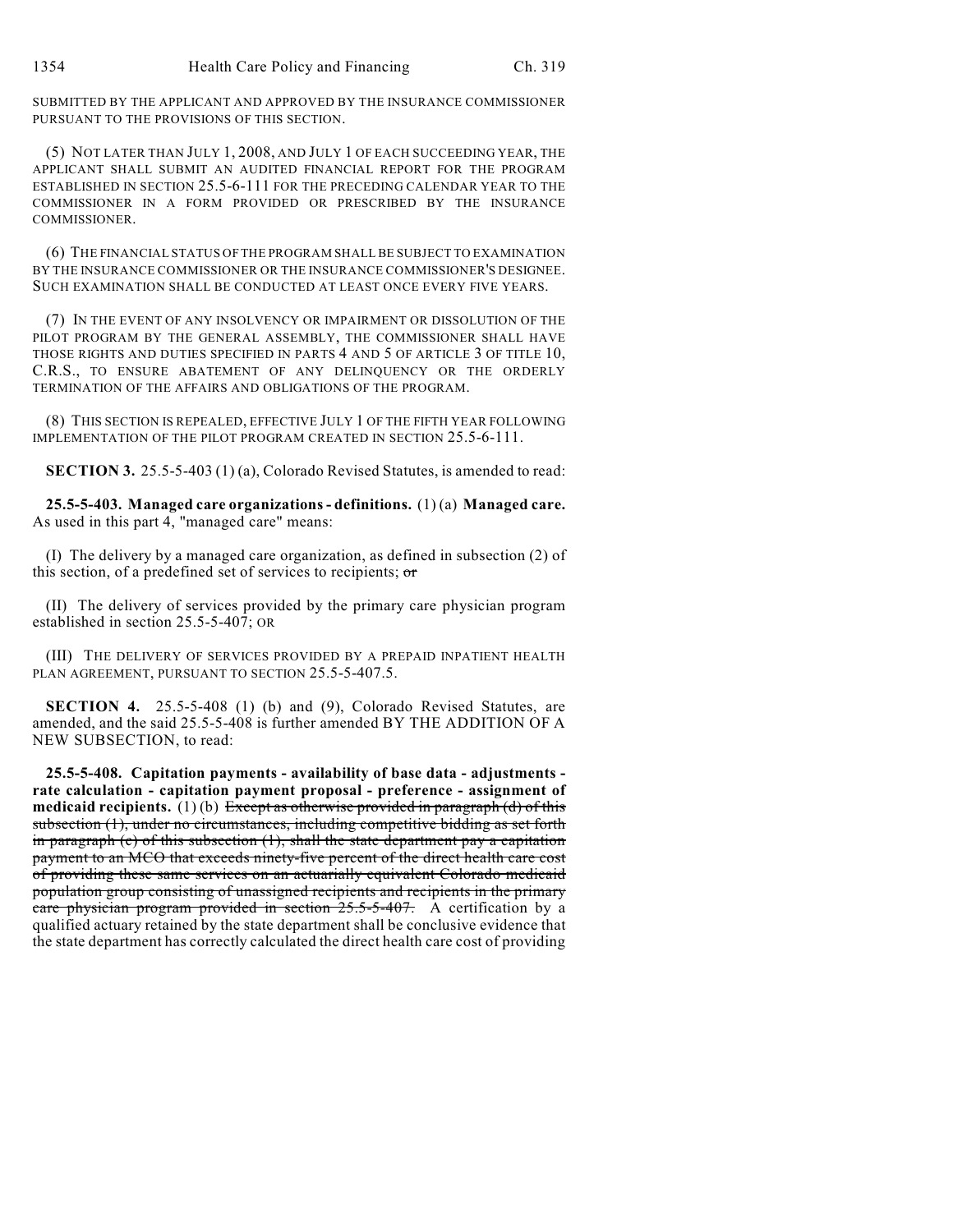SUBMITTED BY THE APPLICANT AND APPROVED BY THE INSURANCE COMMISSIONER PURSUANT TO THE PROVISIONS OF THIS SECTION.

(5) NOT LATER THAN JULY 1, 2008, AND JULY 1 OF EACH SUCCEEDING YEAR, THE APPLICANT SHALL SUBMIT AN AUDITED FINANCIAL REPORT FOR THE PROGRAM ESTABLISHED IN SECTION 25.5-6-111 FOR THE PRECEDING CALENDAR YEAR TO THE COMMISSIONER IN A FORM PROVIDED OR PRESCRIBED BY THE INSURANCE **COMMISSIONER** 

(6) THE FINANCIAL STATUS OF THE PROGRAM SHALL BE SUBJECT TO EXAMINATION BY THE INSURANCE COMMISSIONER OR THE INSURANCE COMMISSIONER'S DESIGNEE. SUCH EXAMINATION SHALL BE CONDUCTED AT LEAST ONCE EVERY FIVE YEARS.

(7) IN THE EVENT OF ANY INSOLVENCY OR IMPAIRMENT OR DISSOLUTION OF THE PILOT PROGRAM BY THE GENERAL ASSEMBLY, THE COMMISSIONER SHALL HAVE THOSE RIGHTS AND DUTIES SPECIFIED IN PARTS 4 AND 5 OF ARTICLE 3 OF TITLE 10, C.R.S., TO ENSURE ABATEMENT OF ANY DELINQUENCY OR THE ORDERLY TERMINATION OF THE AFFAIRS AND OBLIGATIONS OF THE PROGRAM.

(8) THIS SECTION IS REPEALED, EFFECTIVE JULY 1 OF THE FIFTH YEAR FOLLOWING IMPLEMENTATION OF THE PILOT PROGRAM CREATED IN SECTION 25.5-6-111.

**SECTION 3.** 25.5-5-403 (1) (a), Colorado Revised Statutes, is amended to read:

**25.5-5-403. Managed care organizations - definitions.** (1) (a) **Managed care.** As used in this part 4, "managed care" means:

(I) The delivery by a managed care organization, as defined in subsection (2) of this section, of a predefined set of services to recipients;  $\sigma$ 

(II) The delivery of services provided by the primary care physician program established in section 25.5-5-407; OR

(III) THE DELIVERY OF SERVICES PROVIDED BY A PREPAID INPATIENT HEALTH PLAN AGREEMENT, PURSUANT TO SECTION 25.5-5-407.5.

**SECTION 4.** 25.5-5-408 (1) (b) and (9), Colorado Revised Statutes, are amended, and the said 25.5-5-408 is further amended BY THE ADDITION OF A NEW SUBSECTION, to read:

**25.5-5-408. Capitation payments - availability of base data - adjustments rate calculation - capitation payment proposal - preference - assignment of medicaid recipients.** (1) (b) Except as otherwise provided in paragraph (d) of this subsection (1), under no circumstances, including competitive bidding as set forth in paragraph (c) of this subsection  $(1)$ , shall the state department pay a capitation payment to an MCO that exceeds ninety-five percent of the direct health care cost of providing these same services on an actuarially equivalent Colorado medicaid population group consisting of unassigned recipients and recipients in the primary care physician program provided in section 25.5-5-407. A certification by a qualified actuary retained by the state department shall be conclusive evidence that the state department has correctly calculated the direct health care cost of providing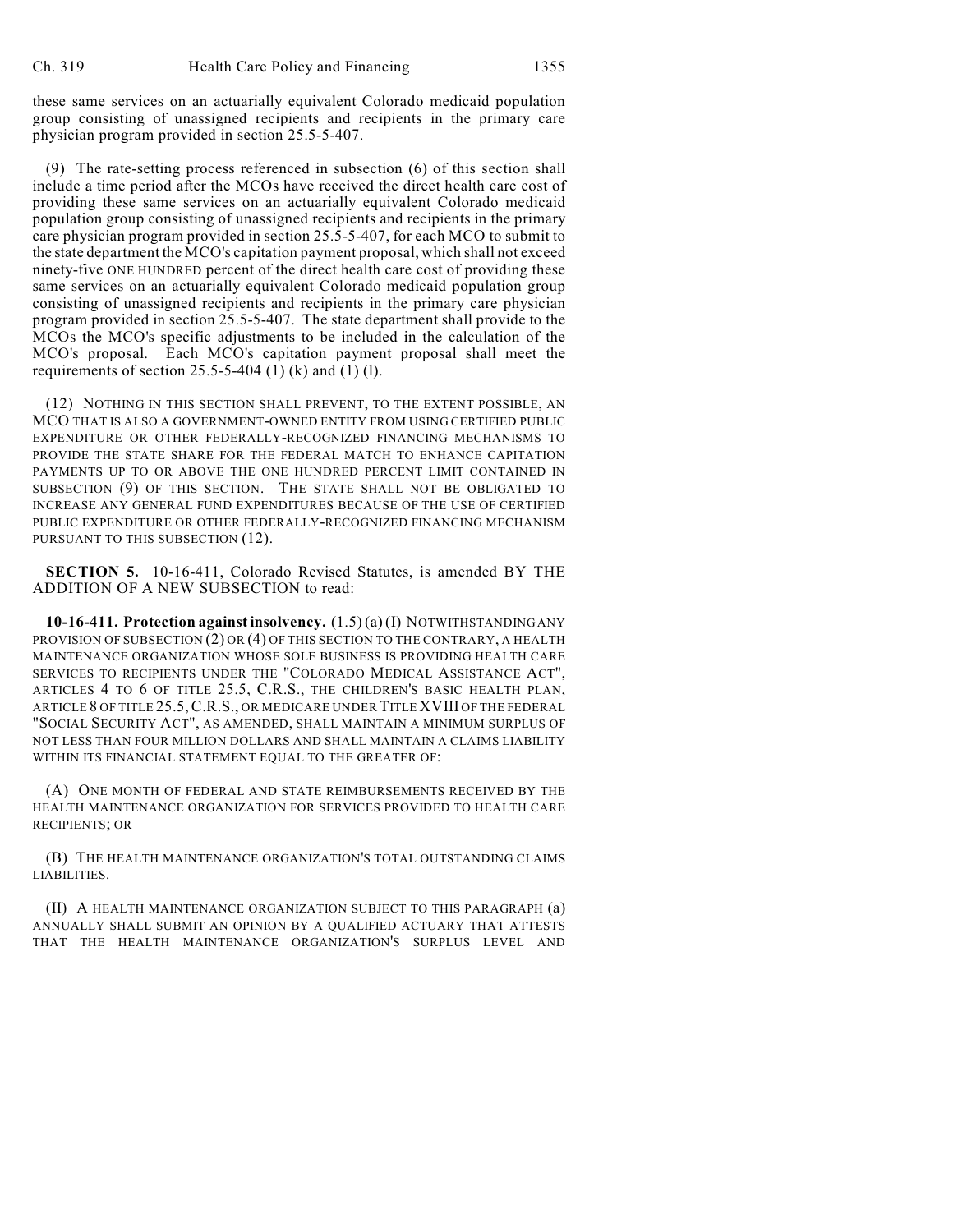these same services on an actuarially equivalent Colorado medicaid population group consisting of unassigned recipients and recipients in the primary care physician program provided in section 25.5-5-407.

(9) The rate-setting process referenced in subsection (6) of this section shall include a time period after the MCOs have received the direct health care cost of providing these same services on an actuarially equivalent Colorado medicaid population group consisting of unassigned recipients and recipients in the primary care physician program provided in section 25.5-5-407, for each MCO to submit to the state department the MCO's capitation payment proposal, which shall not exceed ninety-five ONE HUNDRED percent of the direct health care cost of providing these same services on an actuarially equivalent Colorado medicaid population group consisting of unassigned recipients and recipients in the primary care physician program provided in section 25.5-5-407. The state department shall provide to the MCOs the MCO's specific adjustments to be included in the calculation of the MCO's proposal. Each MCO's capitation payment proposal shall meet the requirements of section  $25.5 - 5 - 404$  (1) (k) and (1) (l).

(12) NOTHING IN THIS SECTION SHALL PREVENT, TO THE EXTENT POSSIBLE, AN MCO THAT IS ALSO A GOVERNMENT-OWNED ENTITY FROM USING CERTIFIED PUBLIC EXPENDITURE OR OTHER FEDERALLY-RECOGNIZED FINANCING MECHANISMS TO PROVIDE THE STATE SHARE FOR THE FEDERAL MATCH TO ENHANCE CAPITATION PAYMENTS UP TO OR ABOVE THE ONE HUNDRED PERCENT LIMIT CONTAINED IN SUBSECTION (9) OF THIS SECTION. THE STATE SHALL NOT BE OBLIGATED TO INCREASE ANY GENERAL FUND EXPENDITURES BECAUSE OF THE USE OF CERTIFIED PUBLIC EXPENDITURE OR OTHER FEDERALLY-RECOGNIZED FINANCING MECHANISM PURSUANT TO THIS SUBSECTION (12).

**SECTION 5.** 10-16-411, Colorado Revised Statutes, is amended BY THE ADDITION OF A NEW SUBSECTION to read:

**10-16-411. Protection against insolvency.** (1.5) (a) (I) NOTWITHSTANDING ANY PROVISION OF SUBSECTION (2) OR (4) OF THIS SECTION TO THE CONTRARY, A HEALTH MAINTENANCE ORGANIZATION WHOSE SOLE BUSINESS IS PROVIDING HEALTH CARE SERVICES TO RECIPIENTS UNDER THE "COLORADO MEDICAL ASSISTANCE ACT", ARTICLES 4 TO 6 OF TITLE 25.5, C.R.S., THE CHILDREN'S BASIC HEALTH PLAN, ARTICLE 8 OF TITLE 25.5,C.R.S., OR MEDICARE UNDER TITLE XVIII OF THE FEDERAL "SOCIAL SECURITY ACT", AS AMENDED, SHALL MAINTAIN A MINIMUM SURPLUS OF NOT LESS THAN FOUR MILLION DOLLARS AND SHALL MAINTAIN A CLAIMS LIABILITY WITHIN ITS FINANCIAL STATEMENT EQUAL TO THE GREATER OF:

(A) ONE MONTH OF FEDERAL AND STATE REIMBURSEMENTS RECEIVED BY THE HEALTH MAINTENANCE ORGANIZATION FOR SERVICES PROVIDED TO HEALTH CARE RECIPIENTS; OR

(B) THE HEALTH MAINTENANCE ORGANIZATION'S TOTAL OUTSTANDING CLAIMS LIABILITIES.

(II) A HEALTH MAINTENANCE ORGANIZATION SUBJECT TO THIS PARAGRAPH (a) ANNUALLY SHALL SUBMIT AN OPINION BY A QUALIFIED ACTUARY THAT ATTESTS THAT THE HEALTH MAINTENANCE ORGANIZATION'S SURPLUS LEVEL AND